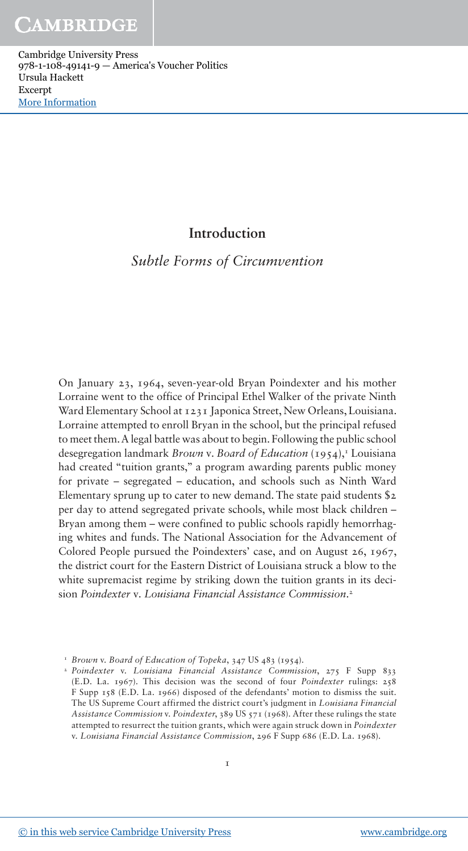## **Introduction**

*Subtle Forms of Circumvention*

On January 23, 1964, seven-year-old Bryan Poindexter and his mother Lorraine went to the office of Principal Ethel Walker of the private Ninth Ward Elementary School at 1231 Japonica Street, New Orleans, Louisiana. Lorraine attempted to enroll Bryan in the school, but the principal refused to meet them. A legal battle was about to begin. Following the public school desegregation landmark *Brown* v. Board of Education (1954),<sup>1</sup> Louisiana had created "tuition grants," a program awarding parents public money for private – segregated – education, and schools such as Ninth Ward Elementary sprung up to cater to new demand. The state paid students \$2 per day to attend segregated private schools, while most black children – Bryan among them – were confined to public schools rapidly hemorrhaging whites and funds. The National Association for the Advancement of Colored People pursued the Poindexters' case, and on August 26, 1967, the district court for the Eastern District of Louisiana struck a blow to the white supremacist regime by striking down the tuition grants in its decision *Poindexter* v*. Louisiana Financial Assistance Commission*. 2

<sup>1</sup>*Brown* v*. Board of Education of Topeka*, 347 US 483 (1954).

<sup>2</sup>*Poindexter* v*. Louisiana Financial Assistance Commission*, 275 F Supp 833 (E.D. La. 1967). This decision was the second of four *Poindexter* rulings: 258 F Supp 158 (E.D. La. 1966) disposed of the defendants' motion to dismiss the suit. The US Supreme Court affirmed the district court's judgment in *Louisiana Financial Assistance Commission* v*. Poindexter*, 389 US 571 (1968). After these rulings the state attempted to resurrect the tuition grants, which were again struck down in *Poindexter* v*. Louisiana Financial Assistance Commission*, 296 F Supp 686 (E.D. La. 1968).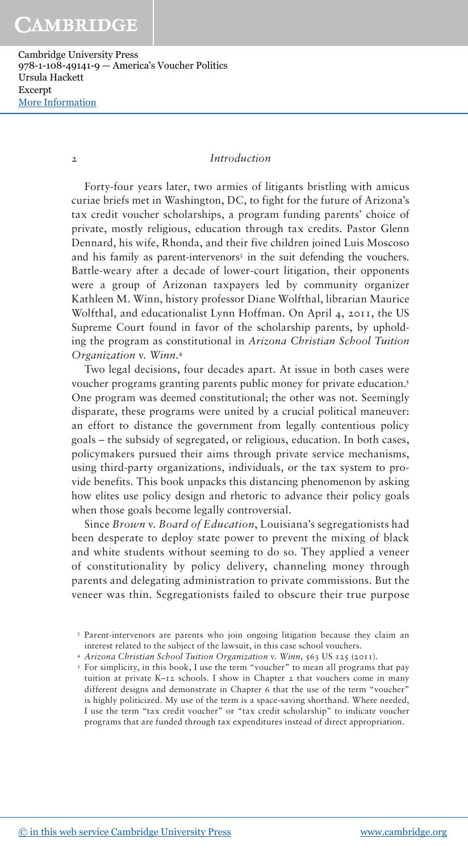# CAMBRIDGE

Cambridge University Press 978-1-108-49141-9 — America's Voucher Politics Ursula Hackett Excerpt [More Information](www.cambridge.org/9781108491419)

#### 2 *Introduction*

Forty-four years later, two armies of litigants bristling with amicus curiae briefs met in Washington, DC, to fight for the future of Arizona's tax credit voucher scholarships, a program funding parents' choice of private, mostly religious, education through tax credits. Pastor Glenn Dennard, his wife, Rhonda, and their five children joined Luis Moscoso and his family as parent-intervenors<sup>3</sup> in the suit defending the vouchers. Battle-weary after a decade of lower-court litigation, their opponents were a group of Arizonan taxpayers led by community organizer Kathleen M. Winn, history professor Diane Wolfthal, librarian Maurice Wolfthal, and educationalist Lynn Hoffman. On April 4, 2011, the US Supreme Court found in favor of the scholarship parents, by upholding the program as constitutional in *Arizona Christian School Tuition Organization* v*. Winn*. 4

Two legal decisions, four decades apart. At issue in both cases were voucher programs granting parents public money for private education.<sup>5</sup> One program was deemed constitutional; the other was not. Seemingly disparate, these programs were united by a crucial political maneuver: an effort to distance the government from legally contentious policy goals – the subsidy of segregated, or religious, education. In both cases, policymakers pursued their aims through private service mechanisms, using third-party organizations, individuals, or the tax system to provide benefits. This book unpacks this distancing phenomenon by asking how elites use policy design and rhetoric to advance their policy goals when those goals become legally controversial.

Since *Brown* v*. Board of Education*, Louisiana's segregationists had been desperate to deploy state power to prevent the mixing of black and white students without seeming to do so. They applied a veneer of constitutionality by policy delivery, channeling money through parents and delegating administration to private commissions. But the veneer was thin. Segregationists failed to obscure their true purpose

<sup>&</sup>lt;sup>3</sup> Parent-intervenors are parents who join ongoing litigation because they claim an interest related to the subject of the lawsuit, in this case school vouchers.

<sup>4</sup>*Arizona Christian School Tuition Organization* v*. Winn*, 563 US 125 (2011).

<sup>&</sup>lt;sup>5</sup> For simplicity, in this book, I use the term "voucher" to mean all programs that pay tuition at private K–12 schools. I show in Chapter 2 that vouchers come in many different designs and demonstrate in Chapter 6 that the use of the term "voucher" is highly politicized. My use of the term is a space-saving shorthand. Where needed, I use the term "tax credit voucher" or "tax credit scholarship" to indicate voucher programs that are funded through tax expenditures instead of direct appropriation.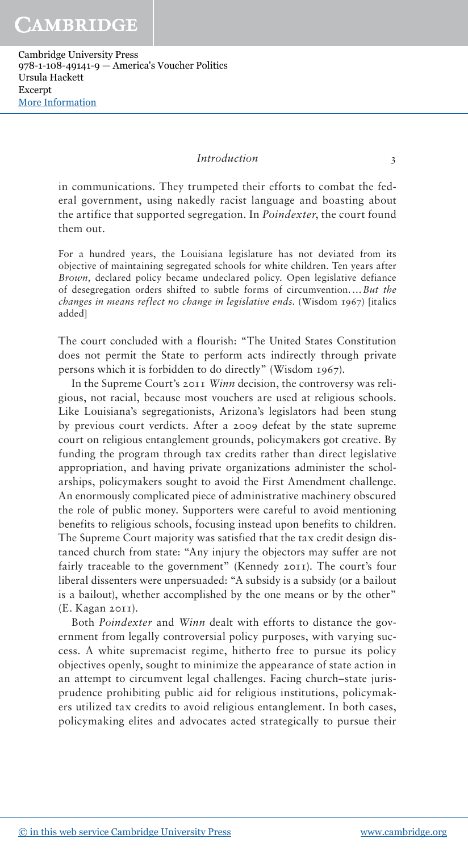#### *Introduction* 3

in communications. They trumpeted their efforts to combat the federal government, using nakedly racist language and boasting about the artifice that supported segregation. In *Poindexter*, the court found them out.

For a hundred years, the Louisiana legislature has not deviated from its objective of maintaining segregated schools for white children. Ten years after *Brown,* declared policy became undeclared policy. Open legislative defiance of desegregation orders shifted to subtle forms of circumvention. … *But the changes in means reflect no change in legislative ends*. (Wisdom 1967) [italics added]

The court concluded with a flourish: "The United States Constitution does not permit the State to perform acts indirectly through private persons which it is forbidden to do directly" (Wisdom 1967).

In the Supreme Court's 2011 *Winn* decision, the controversy was religious, not racial, because most vouchers are used at religious schools. Like Louisiana's segregationists, Arizona's legislators had been stung by previous court verdicts. After a 2009 defeat by the state supreme court on religious entanglement grounds, policymakers got creative. By funding the program through tax credits rather than direct legislative appropriation, and having private organizations administer the scholarships, policymakers sought to avoid the First Amendment challenge. An enormously complicated piece of administrative machinery obscured the role of public money. Supporters were careful to avoid mentioning benefits to religious schools, focusing instead upon benefits to children. The Supreme Court majority was satisfied that the tax credit design distanced church from state: "Any injury the objectors may suffer are not fairly traceable to the government" (Kennedy 2011). The court's four liberal dissenters were unpersuaded: "A subsidy is a subsidy (or a bailout is a bailout), whether accomplished by the one means or by the other" (E. Kagan 2011).

Both *Poindexter* and *Winn* dealt with efforts to distance the government from legally controversial policy purposes, with varying success. A white supremacist regime, hitherto free to pursue its policy objectives openly, sought to minimize the appearance of state action in an attempt to circumvent legal challenges. Facing church–state jurisprudence prohibiting public aid for religious institutions, policymakers utilized tax credits to avoid religious entanglement. In both cases, policymaking elites and advocates acted strategically to pursue their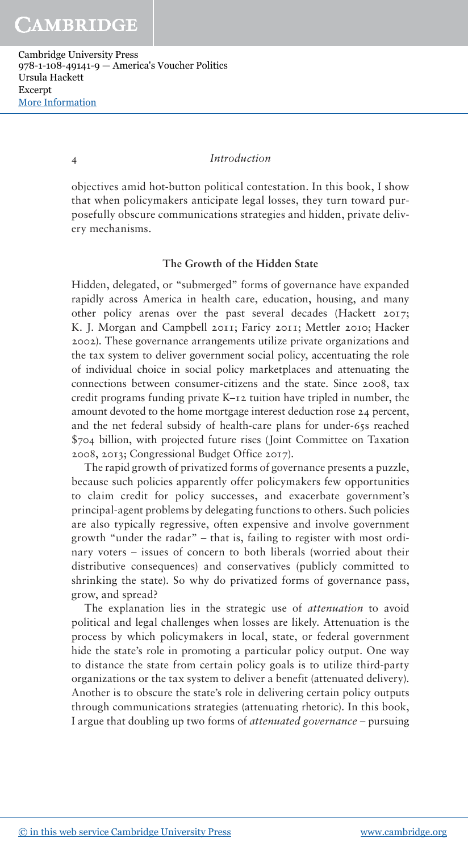#### 4 *Introduction*

objectives amid hot-button political contestation. In this book, I show that when policymakers anticipate legal losses, they turn toward purposefully obscure communications strategies and hidden, private delivery mechanisms.

#### **The Growth of the Hidden State**

Hidden, delegated, or "submerged" forms of governance have expanded rapidly across America in health care, education, housing, and many other policy arenas over the past several decades (Hackett 2017; K. J. Morgan and Campbell 2011; Faricy 2011; Mettler 2010; Hacker 2002). These governance arrangements utilize private organizations and the tax system to deliver government social policy, accentuating the role of individual choice in social policy marketplaces and attenuating the connections between consumer-citizens and the state. Since 2008, tax credit programs funding private K–12 tuition have tripled in number, the amount devoted to the home mortgage interest deduction rose 24 percent, and the net federal subsidy of health-care plans for under-65s reached \$704 billion, with projected future rises (Joint Committee on Taxation 2008, 2013; Congressional Budget Office 2017).

The rapid growth of privatized forms of governance presents a puzzle, because such policies apparently offer policymakers few opportunities to claim credit for policy successes, and exacerbate government's principal-agent problems by delegating functions to others. Such policies are also typically regressive, often expensive and involve government growth "under the radar" – that is, failing to register with most ordinary voters – issues of concern to both liberals (worried about their distributive consequences) and conservatives (publicly committed to shrinking the state). So why do privatized forms of governance pass, grow, and spread?

The explanation lies in the strategic use of *attenuation* to avoid political and legal challenges when losses are likely. Attenuation is the process by which policymakers in local, state, or federal government hide the state's role in promoting a particular policy output. One way to distance the state from certain policy goals is to utilize third-party organizations or the tax system to deliver a benefit (attenuated delivery). Another is to obscure the state's role in delivering certain policy outputs through communications strategies (attenuating rhetoric). In this book, I argue that doubling up two forms of *attenuated governance* – pursuing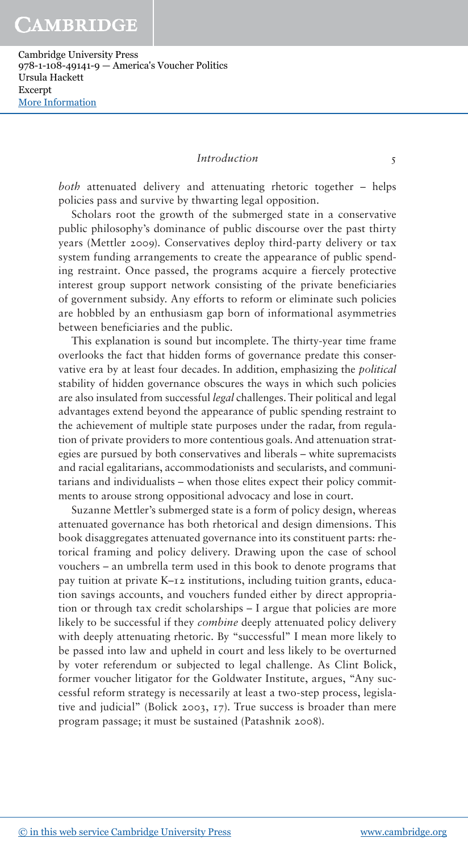#### *Introduction* 5

*both* attenuated delivery and attenuating rhetoric together – helps policies pass and survive by thwarting legal opposition.

Scholars root the growth of the submerged state in a conservative public philosophy's dominance of public discourse over the past thirty years (Mettler 2009). Conservatives deploy third-party delivery or tax system funding arrangements to create the appearance of public spending restraint. Once passed, the programs acquire a fiercely protective interest group support network consisting of the private beneficiaries of government subsidy. Any efforts to reform or eliminate such policies are hobbled by an enthusiasm gap born of informational asymmetries between beneficiaries and the public.

This explanation is sound but incomplete. The thirty-year time frame overlooks the fact that hidden forms of governance predate this conservative era by at least four decades. In addition, emphasizing the *political* stability of hidden governance obscures the ways in which such policies are also insulated from successful *legal* challenges. Their political and legal advantages extend beyond the appearance of public spending restraint to the achievement of multiple state purposes under the radar, from regulation of private providers to more contentious goals. And attenuation strategies are pursued by both conservatives and liberals – white supremacists and racial egalitarians, accommodationists and secularists, and communitarians and individualists – when those elites expect their policy commitments to arouse strong oppositional advocacy and lose in court.

Suzanne Mettler's submerged state is a form of policy design, whereas attenuated governance has both rhetorical and design dimensions. This book disaggregates attenuated governance into its constituent parts: rhetorical framing and policy delivery. Drawing upon the case of school vouchers – an umbrella term used in this book to denote programs that pay tuition at private K–12 institutions, including tuition grants, education savings accounts, and vouchers funded either by direct appropriation or through tax credit scholarships – I argue that policies are more likely to be successful if they *combine* deeply attenuated policy delivery with deeply attenuating rhetoric. By "successful" I mean more likely to be passed into law and upheld in court and less likely to be overturned by voter referendum or subjected to legal challenge. As Clint Bolick, former voucher litigator for the Goldwater Institute, argues, "Any successful reform strategy is necessarily at least a two-step process, legislative and judicial" (Bolick 2003, 17). True success is broader than mere program passage; it must be sustained (Patashnik 2008).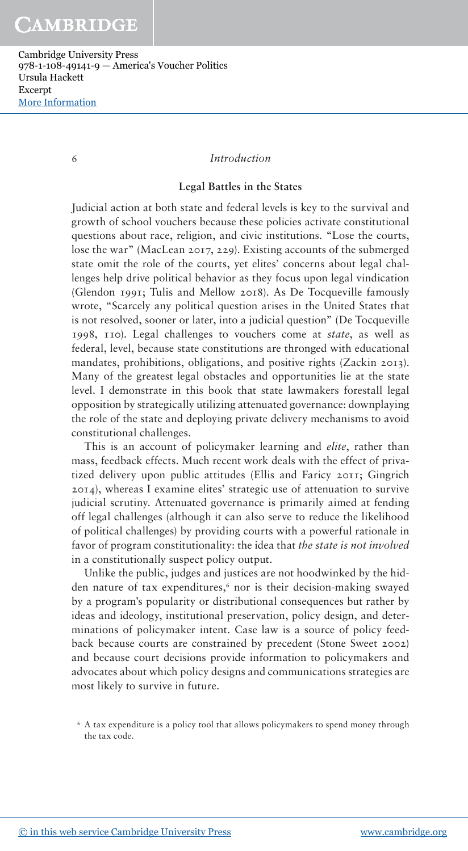#### 6 *Introduction*

#### **Legal Battles in the States**

Judicial action at both state and federal levels is key to the survival and growth of school vouchers because these policies activate constitutional questions about race, religion, and civic institutions. "Lose the courts, lose the war" (MacLean 2017, 229). Existing accounts of the submerged state omit the role of the courts, yet elites' concerns about legal challenges help drive political behavior as they focus upon legal vindication (Glendon 1991; Tulis and Mellow 2018). As De Tocqueville famously wrote, "Scarcely any political question arises in the United States that is not resolved, sooner or later, into a judicial question" (De Tocqueville 1998, 110). Legal challenges to vouchers come at *state*, as well as federal, level, because state constitutions are thronged with educational mandates, prohibitions, obligations, and positive rights (Zackin 2013). Many of the greatest legal obstacles and opportunities lie at the state level. I demonstrate in this book that state lawmakers forestall legal opposition by strategically utilizing attenuated governance: down playing the role of the state and deploying private delivery mechanisms to avoid constitutional challenges.

This is an account of policymaker learning and *elite*, rather than mass, feedback effects. Much recent work deals with the effect of privatized delivery upon public attitudes (Ellis and Faricy 2011; Gingrich 2014), whereas I examine elites' strategic use of attenuation to survive judicial scrutiny. Attenuated governance is primarily aimed at fending off legal challenges (although it can also serve to reduce the likelihood of political challenges) by providing courts with a powerful rationale in favor of program constitutionality: the idea that *the state is not involved* in a constitutionally suspect policy output.

Unlike the public, judges and justices are not hoodwinked by the hidden nature of tax expenditures,<sup>6</sup> nor is their decision-making swayed by a program's popularity or distributional consequences but rather by ideas and ideology, institutional preservation, policy design, and determinations of policymaker intent. Case law is a source of policy feedback because courts are constrained by precedent (Stone Sweet 2002) and because court decisions provide information to policymakers and advocates about which policy designs and communications strategies are most likely to survive in future.

<sup>6</sup>A tax expenditure is a policy tool that allows policymakers to spend money through the tax code.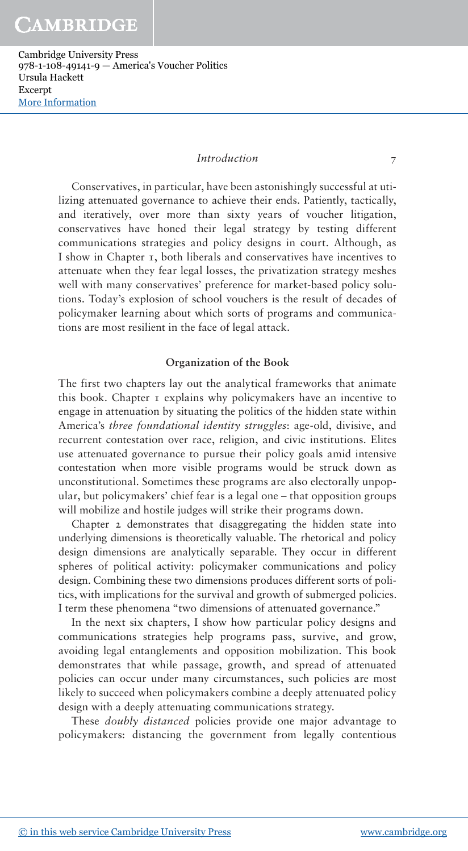### *Introduction* 7

Conservatives, in particular, have been astonishingly successful at utilizing attenuated governance to achieve their ends. Patiently, tactically, and iteratively, over more than sixty years of voucher litigation, conservatives have honed their legal strategy by testing different communications strategies and policy designs in court. Although, as I show in Chapter 1, both liberals and conservatives have incentives to attenuate when they fear legal losses, the privatization strategy meshes well with many conservatives' preference for market-based policy solutions. Today's explosion of school vouchers is the result of decades of policymaker learning about which sorts of programs and communications are most resilient in the face of legal attack.

#### **Organization of the Book**

The first two chapters lay out the analytical frameworks that animate this book. Chapter 1 explains why policymakers have an incentive to engage in attenuation by situating the politics of the hidden state within America's *three foundational identity struggles*: age-old, divisive, and recurrent contestation over race, religion, and civic institutions. Elites use attenuated governance to pursue their policy goals amid intensive contestation when more visible programs would be struck down as unconstitutional. Sometimes these programs are also electorally unpopular, but policymakers' chief fear is a legal one – that opposition groups will mobilize and hostile judges will strike their programs down.

Chapter 2 demonstrates that disaggregating the hidden state into underlying dimensions is theoretically valuable. The rhetorical and policy design dimensions are analytically separable. They occur in different spheres of political activity: policymaker communications and policy design. Combining these two dimensions produces different sorts of politics, with implications for the survival and growth of submerged policies. I term these phenomena "two dimensions of attenuated governance."

In the next six chapters, I show how particular policy designs and communications strategies help programs pass, survive, and grow, avoiding legal entanglements and opposition mobilization. This book demonstrates that while passage, growth, and spread of attenuated policies can occur under many circumstances, such policies are most likely to succeed when policymakers combine a deeply attenuated policy design with a deeply attenuating communications strategy.

These *doubly distanced* policies provide one major advantage to policymakers: distancing the government from legally contentious